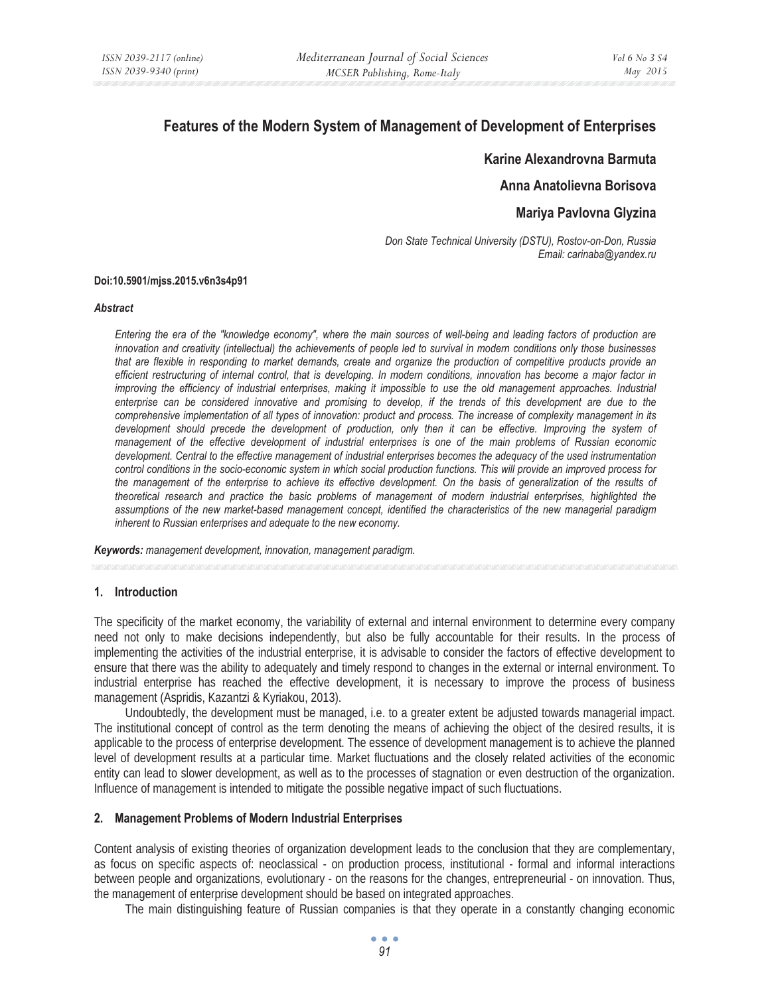# **Features of the Modern System of Management of Development of Enterprises**

## **Karine Alexandrovna Barmuta**

## **Anna Anatolievna Borisova**

# **Mariya Pavlovna Glyzina**

*Don State Technical University (DSTU), Rostov-on-Don, Russia Email: carinaba@yandex.ru* 

#### **Doi:10.5901/mjss.2015.v6n3s4p91**

#### *Abstract*

*Entering the era of the "knowledge economy", where the main sources of well-being and leading factors of production are innovation and creativity (intellectual) the achievements of people led to survival in modern conditions only those businesses that are flexible in responding to market demands, create and organize the production of competitive products provide an efficient restructuring of internal control, that is developing. In modern conditions, innovation has become a major factor in improving the efficiency of industrial enterprises, making it impossible to use the old management approaches. Industrial* enterprise can be considered innovative and promising to develop, if the trends of this development are due to the *comprehensive implementation of all types of innovation: product and process. The increase of complexity management in its*  development should precede the development of production, only then it can be effective. Improving the system of *management of the effective development of industrial enterprises is one of the main problems of Russian economic*  development. Central to the effective management of industrial enterprises becomes the adequacy of the used instrumentation *control conditions in the socio-economic system in which social production functions. This will provide an improved process for* the management of the enterprise to achieve its effective development. On the basis of generalization of the results of *theoretical research and practice the basic problems of management of modern industrial enterprises, highlighted the assumptions of the new market-based management concept, identified the characteristics of the new managerial paradigm inherent to Russian enterprises and adequate to the new economy.* 

*Keywords: management development, innovation, management paradigm.*

#### **1. Introduction**

The specificity of the market economy, the variability of external and internal environment to determine every company need not only to make decisions independently, but also be fully accountable for their results. In the process of implementing the activities of the industrial enterprise, it is advisable to consider the factors of effective development to ensure that there was the ability to adequately and timely respond to changes in the external or internal environment. To industrial enterprise has reached the effective development, it is necessary to improve the process of business management (Aspridis, Kazantzi & Kyriakou, 2013).

Undoubtedly, the development must be managed, i.e. to a greater extent be adjusted towards managerial impact. The institutional concept of control as the term denoting the means of achieving the object of the desired results, it is applicable to the process of enterprise development. The essence of development management is to achieve the planned level of development results at a particular time. Market fluctuations and the closely related activities of the economic entity can lead to slower development, as well as to the processes of stagnation or even destruction of the organization. Influence of management is intended to mitigate the possible negative impact of such fluctuations.

#### **2. Management Problems of Modern Industrial Enterprises**

Content analysis of existing theories of organization development leads to the conclusion that they are complementary, as focus on specific aspects of: neoclassical - on production process, institutional - formal and informal interactions between people and organizations, evolutionary - on the reasons for the changes, entrepreneurial - on innovation. Thus, the management of enterprise development should be based on integrated approaches.

The main distinguishing feature of Russian companies is that they operate in a constantly changing economic

 $\bullet$   $\bullet$   $\bullet$ *91*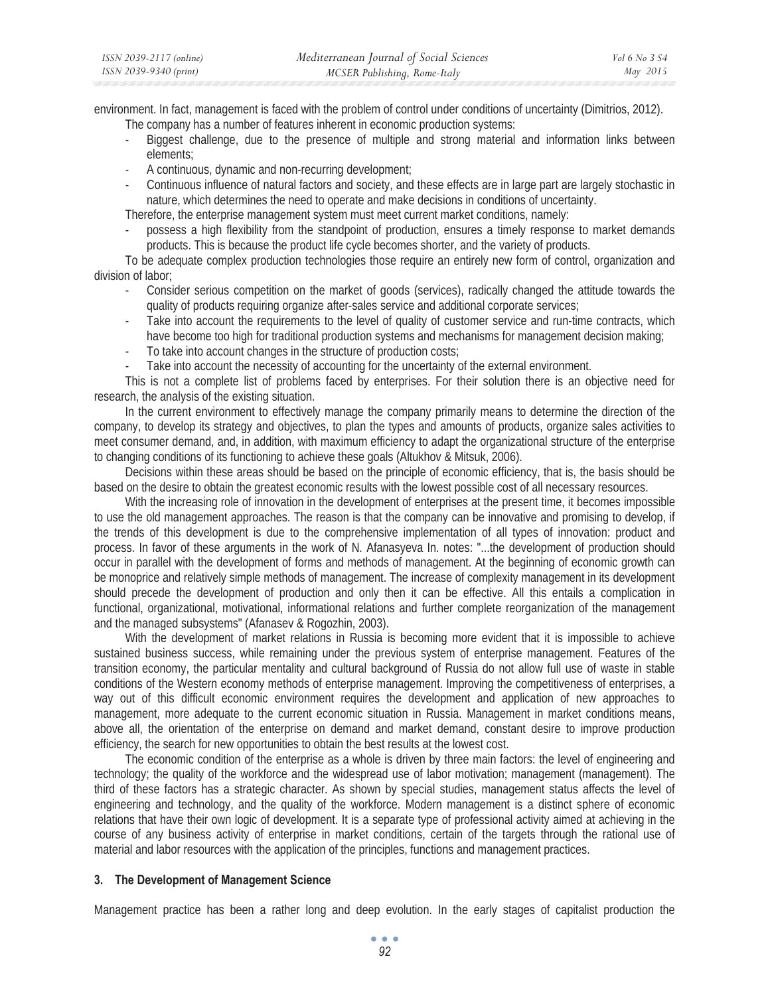environment. In fact, management is faced with the problem of control under conditions of uncertainty (Dimitrios, 2012).

- The company has a number of features inherent in economic production systems:
- Biggest challenge, due to the presence of multiple and strong material and information links between elements;
- A continuous, dynamic and non-recurring development;
- Continuous influence of natural factors and society, and these effects are in large part are largely stochastic in nature, which determines the need to operate and make decisions in conditions of uncertainty.

Therefore, the enterprise management system must meet current market conditions, namely:

possess a high flexibility from the standpoint of production, ensures a timely response to market demands products. This is because the product life cycle becomes shorter, and the variety of products.

To be adequate complex production technologies those require an entirely new form of control, organization and division of labor;

- Consider serious competition on the market of goods (services), radically changed the attitude towards the quality of products requiring organize after-sales service and additional corporate services;
- Take into account the requirements to the level of quality of customer service and run-time contracts, which have become too high for traditional production systems and mechanisms for management decision making;
- To take into account changes in the structure of production costs;
- Take into account the necessity of accounting for the uncertainty of the external environment.

This is not a complete list of problems faced by enterprises. For their solution there is an objective need for research, the analysis of the existing situation.

In the current environment to effectively manage the company primarily means to determine the direction of the company, to develop its strategy and objectives, to plan the types and amounts of products, organize sales activities to meet consumer demand, and, in addition, with maximum efficiency to adapt the organizational structure of the enterprise to changing conditions of its functioning to achieve these goals (Altukhov & Mitsuk, 2006).

Decisions within these areas should be based on the principle of economic efficiency, that is, the basis should be based on the desire to obtain the greatest economic results with the lowest possible cost of all necessary resources.

With the increasing role of innovation in the development of enterprises at the present time, it becomes impossible to use the old management approaches. The reason is that the company can be innovative and promising to develop, if the trends of this development is due to the comprehensive implementation of all types of innovation: product and process. In favor of these arguments in the work of N. Afanasyeva In. notes: "...the development of production should occur in parallel with the development of forms and methods of management. At the beginning of economic growth can be monoprice and relatively simple methods of management. The increase of complexity management in its development should precede the development of production and only then it can be effective. All this entails a complication in functional, organizational, motivational, informational relations and further complete reorganization of the management and the managed subsystems" (Afanasev & Rogozhin, 2003).

With the development of market relations in Russia is becoming more evident that it is impossible to achieve sustained business success, while remaining under the previous system of enterprise management. Features of the transition economy, the particular mentality and cultural background of Russia do not allow full use of waste in stable conditions of the Western economy methods of enterprise management. Improving the competitiveness of enterprises, a way out of this difficult economic environment requires the development and application of new approaches to management, more adequate to the current economic situation in Russia. Management in market conditions means, above all, the orientation of the enterprise on demand and market demand, constant desire to improve production efficiency, the search for new opportunities to obtain the best results at the lowest cost.

The economic condition of the enterprise as a whole is driven by three main factors: the level of engineering and technology; the quality of the workforce and the widespread use of labor motivation; management (management). The third of these factors has a strategic character. As shown by special studies, management status affects the level of engineering and technology, and the quality of the workforce. Modern management is a distinct sphere of economic relations that have their own logic of development. It is a separate type of professional activity aimed at achieving in the course of any business activity of enterprise in market conditions, certain of the targets through the rational use of material and labor resources with the application of the principles, functions and management practices.

## **3. The Development of Management Science**

Management practice has been a rather long and deep evolution. In the early stages of capitalist production the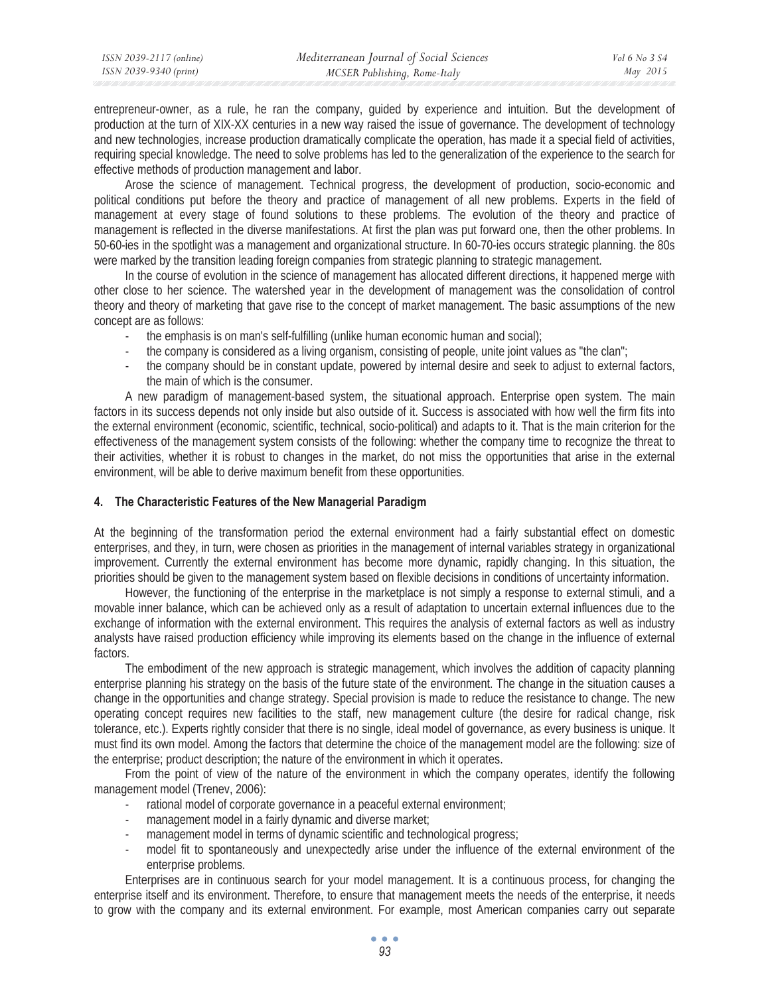entrepreneur-owner, as a rule, he ran the company, guided by experience and intuition. But the development of production at the turn of XIX-XX centuries in a new way raised the issue of governance. The development of technology and new technologies, increase production dramatically complicate the operation, has made it a special field of activities, requiring special knowledge. The need to solve problems has led to the generalization of the experience to the search for effective methods of production management and labor.

Arose the science of management. Technical progress, the development of production, socio-economic and political conditions put before the theory and practice of management of all new problems. Experts in the field of management at every stage of found solutions to these problems. The evolution of the theory and practice of management is reflected in the diverse manifestations. At first the plan was put forward one, then the other problems. In 50-60-ies in the spotlight was a management and organizational structure. In 60-70-ies occurs strategic planning. the 80s were marked by the transition leading foreign companies from strategic planning to strategic management.

In the course of evolution in the science of management has allocated different directions, it happened merge with other close to her science. The watershed year in the development of management was the consolidation of control theory and theory of marketing that gave rise to the concept of market management. The basic assumptions of the new concept are as follows:

- the emphasis is on man's self-fulfilling (unlike human economic human and social);
- the company is considered as a living organism, consisting of people, unite joint values as "the clan";
- the company should be in constant update, powered by internal desire and seek to adjust to external factors, the main of which is the consumer.

A new paradigm of management-based system, the situational approach. Enterprise open system. The main factors in its success depends not only inside but also outside of it. Success is associated with how well the firm fits into the external environment (economic, scientific, technical, socio-political) and adapts to it. That is the main criterion for the effectiveness of the management system consists of the following: whether the company time to recognize the threat to their activities, whether it is robust to changes in the market, do not miss the opportunities that arise in the external environment, will be able to derive maximum benefit from these opportunities.

#### **4. The Characteristic Features of the New Managerial Paradigm**

At the beginning of the transformation period the external environment had a fairly substantial effect on domestic enterprises, and they, in turn, were chosen as priorities in the management of internal variables strategy in organizational improvement. Currently the external environment has become more dynamic, rapidly changing. In this situation, the priorities should be given to the management system based on flexible decisions in conditions of uncertainty information.

However, the functioning of the enterprise in the marketplace is not simply a response to external stimuli, and a movable inner balance, which can be achieved only as a result of adaptation to uncertain external influences due to the exchange of information with the external environment. This requires the analysis of external factors as well as industry analysts have raised production efficiency while improving its elements based on the change in the influence of external factors.

The embodiment of the new approach is strategic management, which involves the addition of capacity planning enterprise planning his strategy on the basis of the future state of the environment. The change in the situation causes a change in the opportunities and change strategy. Special provision is made to reduce the resistance to change. The new operating concept requires new facilities to the staff, new management culture (the desire for radical change, risk tolerance, etc.). Experts rightly consider that there is no single, ideal model of governance, as every business is unique. It must find its own model. Among the factors that determine the choice of the management model are the following: size of the enterprise; product description; the nature of the environment in which it operates.

From the point of view of the nature of the environment in which the company operates, identify the following management model (Trenev, 2006):

- rational model of corporate governance in a peaceful external environment;
- management model in a fairly dynamic and diverse market;
- management model in terms of dynamic scientific and technological progress;
- model fit to spontaneously and unexpectedly arise under the influence of the external environment of the enterprise problems.

Enterprises are in continuous search for your model management. It is a continuous process, for changing the enterprise itself and its environment. Therefore, to ensure that management meets the needs of the enterprise, it needs to grow with the company and its external environment. For example, most American companies carry out separate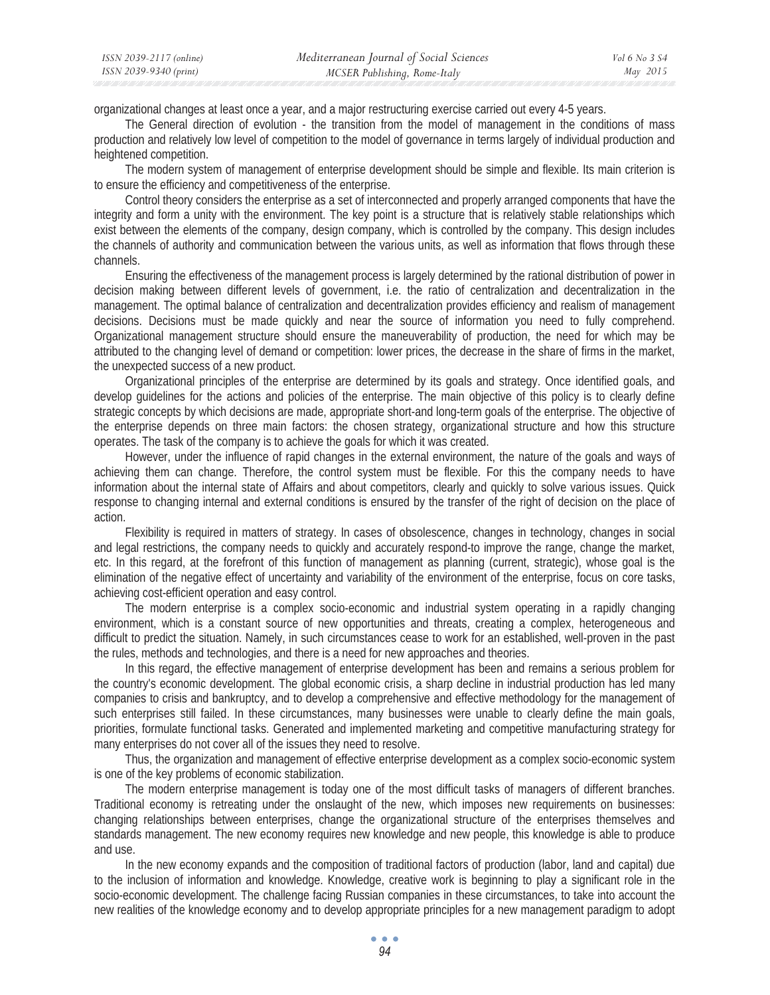organizational changes at least once a year, and a major restructuring exercise carried out every 4-5 years.

The General direction of evolution - the transition from the model of management in the conditions of mass production and relatively low level of competition to the model of governance in terms largely of individual production and heightened competition.

The modern system of management of enterprise development should be simple and flexible. Its main criterion is to ensure the efficiency and competitiveness of the enterprise.

Control theory considers the enterprise as a set of interconnected and properly arranged components that have the integrity and form a unity with the environment. The key point is a structure that is relatively stable relationships which exist between the elements of the company, design company, which is controlled by the company. This design includes the channels of authority and communication between the various units, as well as information that flows through these channels.

Ensuring the effectiveness of the management process is largely determined by the rational distribution of power in decision making between different levels of government, i.e. the ratio of centralization and decentralization in the management. The optimal balance of centralization and decentralization provides efficiency and realism of management decisions. Decisions must be made quickly and near the source of information you need to fully comprehend. Organizational management structure should ensure the maneuverability of production, the need for which may be attributed to the changing level of demand or competition: lower prices, the decrease in the share of firms in the market, the unexpected success of a new product.

Organizational principles of the enterprise are determined by its goals and strategy. Once identified goals, and develop guidelines for the actions and policies of the enterprise. The main objective of this policy is to clearly define strategic concepts by which decisions are made, appropriate short-and long-term goals of the enterprise. The objective of the enterprise depends on three main factors: the chosen strategy, organizational structure and how this structure operates. The task of the company is to achieve the goals for which it was created.

However, under the influence of rapid changes in the external environment, the nature of the goals and ways of achieving them can change. Therefore, the control system must be flexible. For this the company needs to have information about the internal state of Affairs and about competitors, clearly and quickly to solve various issues. Quick response to changing internal and external conditions is ensured by the transfer of the right of decision on the place of action.

Flexibility is required in matters of strategy. In cases of obsolescence, changes in technology, changes in social and legal restrictions, the company needs to quickly and accurately respond-to improve the range, change the market, etc. In this regard, at the forefront of this function of management as planning (current, strategic), whose goal is the elimination of the negative effect of uncertainty and variability of the environment of the enterprise, focus on core tasks, achieving cost-efficient operation and easy control.

The modern enterprise is a complex socio-economic and industrial system operating in a rapidly changing environment, which is a constant source of new opportunities and threats, creating a complex, heterogeneous and difficult to predict the situation. Namely, in such circumstances cease to work for an established, well-proven in the past the rules, methods and technologies, and there is a need for new approaches and theories.

In this regard, the effective management of enterprise development has been and remains a serious problem for the country's economic development. The global economic crisis, a sharp decline in industrial production has led many companies to crisis and bankruptcy, and to develop a comprehensive and effective methodology for the management of such enterprises still failed. In these circumstances, many businesses were unable to clearly define the main goals, priorities, formulate functional tasks. Generated and implemented marketing and competitive manufacturing strategy for many enterprises do not cover all of the issues they need to resolve.

Thus, the organization and management of effective enterprise development as a complex socio-economic system is one of the key problems of economic stabilization.

The modern enterprise management is today one of the most difficult tasks of managers of different branches. Traditional economy is retreating under the onslaught of the new, which imposes new requirements on businesses: changing relationships between enterprises, change the organizational structure of the enterprises themselves and standards management. The new economy requires new knowledge and new people, this knowledge is able to produce and use.

In the new economy expands and the composition of traditional factors of production (labor, land and capital) due to the inclusion of information and knowledge. Knowledge, creative work is beginning to play a significant role in the socio-economic development. The challenge facing Russian companies in these circumstances, to take into account the new realities of the knowledge economy and to develop appropriate principles for a new management paradigm to adopt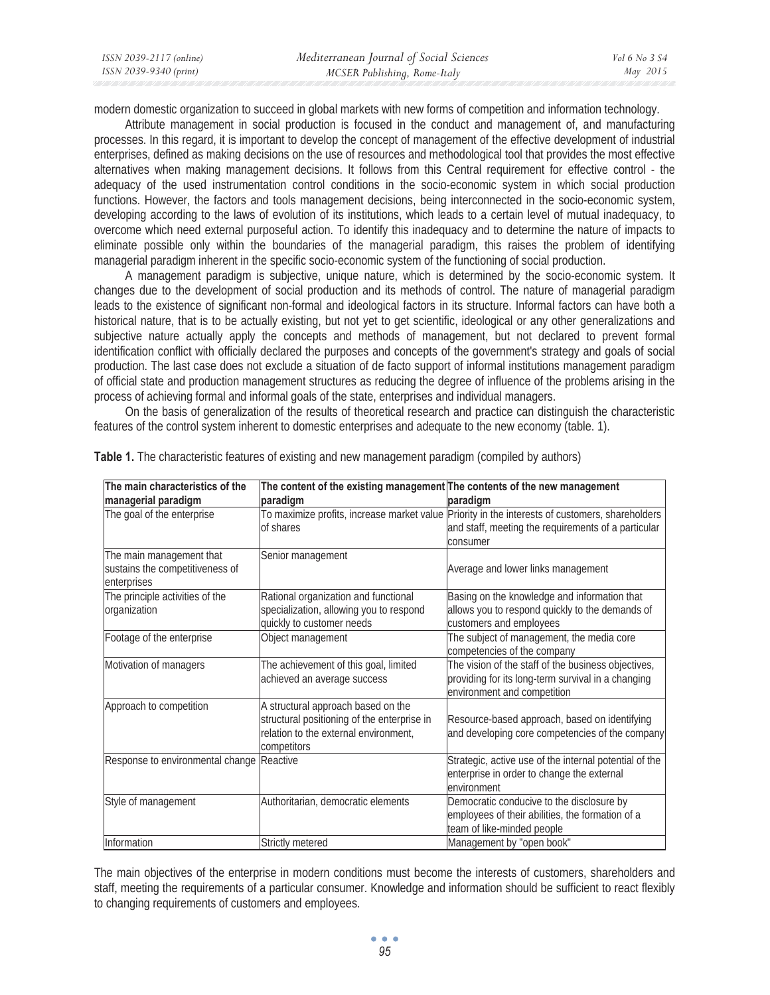| $ISSN 2039-2117$ (online) | Mediterranean Journal of Social Sciences | Vol 6 No. 3 S4 |
|---------------------------|------------------------------------------|----------------|
| ISSN 2039-9340 (print)    | MCSER Publishing, Rome-Italy             | May 2015       |

modern domestic organization to succeed in global markets with new forms of competition and information technology.

Attribute management in social production is focused in the conduct and management of, and manufacturing processes. In this regard, it is important to develop the concept of management of the effective development of industrial enterprises, defined as making decisions on the use of resources and methodological tool that provides the most effective alternatives when making management decisions. It follows from this Central requirement for effective control - the adequacy of the used instrumentation control conditions in the socio-economic system in which social production functions. However, the factors and tools management decisions, being interconnected in the socio-economic system, developing according to the laws of evolution of its institutions, which leads to a certain level of mutual inadequacy, to overcome which need external purposeful action. To identify this inadequacy and to determine the nature of impacts to eliminate possible only within the boundaries of the managerial paradigm, this raises the problem of identifying managerial paradigm inherent in the specific socio-economic system of the functioning of social production.

A management paradigm is subjective, unique nature, which is determined by the socio-economic system. It changes due to the development of social production and its methods of control. The nature of managerial paradigm leads to the existence of significant non-formal and ideological factors in its structure. Informal factors can have both a historical nature, that is to be actually existing, but not yet to get scientific, ideological or any other generalizations and subjective nature actually apply the concepts and methods of management, but not declared to prevent formal identification conflict with officially declared the purposes and concepts of the government's strategy and goals of social production. The last case does not exclude a situation of de facto support of informal institutions management paradigm of official state and production management structures as reducing the degree of influence of the problems arising in the process of achieving formal and informal goals of the state, enterprises and individual managers.

On the basis of generalization of the results of theoretical research and practice can distinguish the characteristic features of the control system inherent to domestic enterprises and adequate to the new economy (table. 1).

| The main characteristics of the<br>managerial paradigm                     | The content of the existing management The contents of the new management<br>paradigm                                                     | paradigm                                                                                                                                                           |
|----------------------------------------------------------------------------|-------------------------------------------------------------------------------------------------------------------------------------------|--------------------------------------------------------------------------------------------------------------------------------------------------------------------|
| The goal of the enterprise                                                 | of shares                                                                                                                                 | To maximize profits, increase market value Priority in the interests of customers, shareholders<br>and staff, meeting the requirements of a particular<br>consumer |
| The main management that<br>sustains the competitiveness of<br>enterprises | Senior management                                                                                                                         | Average and lower links management                                                                                                                                 |
| The principle activities of the<br>organization                            | Rational organization and functional<br>specialization, allowing you to respond<br>quickly to customer needs                              | Basing on the knowledge and information that<br>allows you to respond quickly to the demands of<br>customers and employees                                         |
| Footage of the enterprise                                                  | Object management                                                                                                                         | The subject of management, the media core<br>competencies of the company                                                                                           |
| Motivation of managers                                                     | The achievement of this goal, limited<br>achieved an average success                                                                      | The vision of the staff of the business objectives,<br>providing for its long-term survival in a changing<br>environment and competition                           |
| Approach to competition                                                    | A structural approach based on the<br>structural positioning of the enterprise in<br>relation to the external environment,<br>competitors | Resource-based approach, based on identifying<br>and developing core competencies of the company                                                                   |
| Response to environmental change Reactive                                  |                                                                                                                                           | Strategic, active use of the internal potential of the<br>enterprise in order to change the external<br>environment                                                |
| Style of management                                                        | Authoritarian, democratic elements                                                                                                        | Democratic conducive to the disclosure by<br>employees of their abilities, the formation of a<br>team of like-minded people                                        |
| Information                                                                | Strictly metered                                                                                                                          | Management by "open book"                                                                                                                                          |

**Table 1.** The characteristic features of existing and new management paradigm (compiled by authors)

The main objectives of the enterprise in modern conditions must become the interests of customers, shareholders and staff, meeting the requirements of a particular consumer. Knowledge and information should be sufficient to react flexibly to changing requirements of customers and employees.